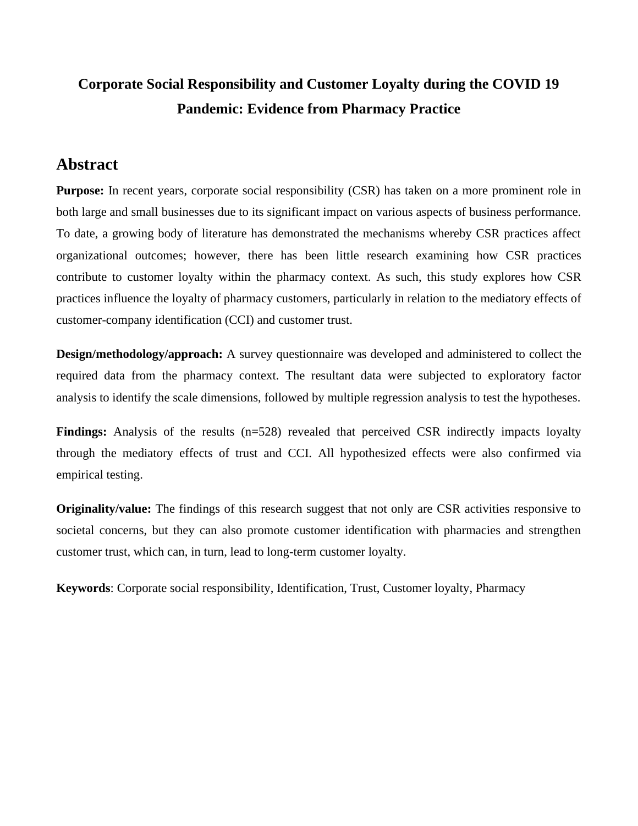# **Corporate Social Responsibility and Customer Loyalty during the COVID 19 Pandemic: Evidence from Pharmacy Practice**

## **Abstract**

**Purpose:** In recent years, corporate social responsibility (CSR) has taken on a more prominent role in both large and small businesses due to its significant impact on various aspects of business performance. To date, a growing body of literature has demonstrated the mechanisms whereby CSR practices affect organizational outcomes; however, there has been little research examining how CSR practices contribute to customer loyalty within the pharmacy context. As such, this study explores how CSR practices influence the loyalty of pharmacy customers, particularly in relation to the mediatory effects of customer-company identification (CCI) and customer trust.

**Design/methodology/approach:** A survey questionnaire was developed and administered to collect the required data from the pharmacy context. The resultant data were subjected to exploratory factor analysis to identify the scale dimensions, followed by multiple regression analysis to test the hypotheses.

**Findings:** Analysis of the results (n=528) revealed that perceived CSR indirectly impacts loyalty through the mediatory effects of trust and CCI. All hypothesized effects were also confirmed via empirical testing.

**Originality/value:** The findings of this research suggest that not only are CSR activities responsive to societal concerns, but they can also promote customer identification with pharmacies and strengthen customer trust, which can, in turn, lead to long-term customer loyalty.

**Keywords**: Corporate social responsibility, Identification, Trust, Customer loyalty, Pharmacy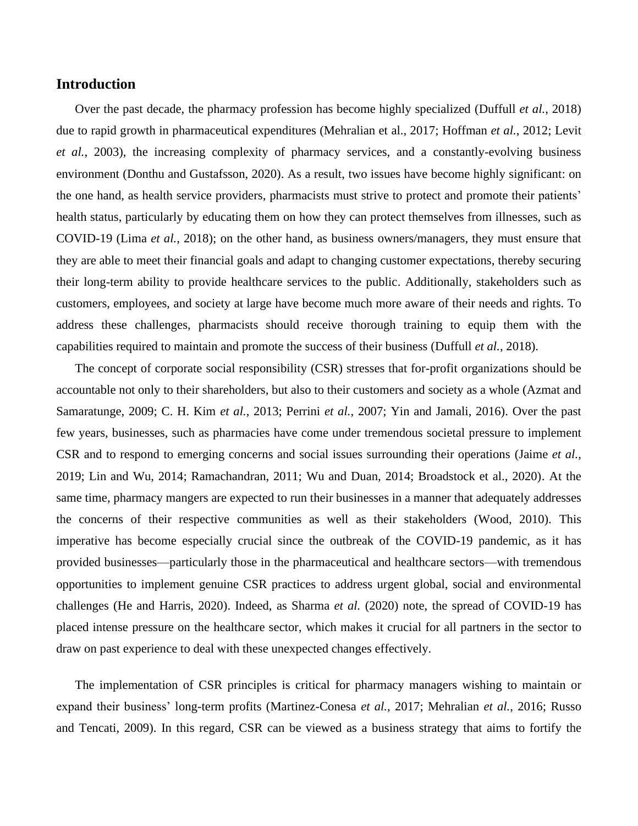## **Introduction**

Over the past decade, the pharmacy profession has become highly specialized (Duffull *et al.*, 2018) due to rapid growth in pharmaceutical expenditures (Mehralian et al., 2017; Hoffman *et al.*, 2012; Levit *et al.*, 2003), the increasing complexity of pharmacy services, and a constantly-evolving business environment (Donthu and Gustafsson, 2020). As a result, two issues have become highly significant: on the one hand, as health service providers, pharmacists must strive to protect and promote their patients' health status, particularly by educating them on how they can protect themselves from illnesses, such as COVID-19 (Lima *et al.*, 2018); on the other hand, as business owners/managers, they must ensure that they are able to meet their financial goals and adapt to changing customer expectations, thereby securing their long-term ability to provide healthcare services to the public. Additionally, stakeholders such as customers, employees, and society at large have become much more aware of their needs and rights. To address these challenges, pharmacists should receive thorough training to equip them with the capabilities required to maintain and promote the success of their business (Duffull *et al.*, 2018).

The concept of corporate social responsibility (CSR) stresses that for-profit organizations should be accountable not only to their shareholders, but also to their customers and society as a whole (Azmat and Samaratunge, 2009; C. H. Kim *et al.*, 2013; Perrini *et al.*, 2007; Yin and Jamali, 2016). Over the past few years, businesses, such as pharmacies have come under tremendous societal pressure to implement CSR and to respond to emerging concerns and social issues surrounding their operations (Jaime *et al.*, 2019; Lin and Wu, 2014; Ramachandran, 2011; Wu and Duan, 2014; Broadstock et al., 2020). At the same time, pharmacy mangers are expected to run their businesses in a manner that adequately addresses the concerns of their respective communities as well as their stakeholders (Wood, 2010). This imperative has become especially crucial since the outbreak of the COVID-19 pandemic, as it has provided businesses—particularly those in the pharmaceutical and healthcare sectors—with tremendous opportunities to implement genuine CSR practices to address urgent global, social and environmental challenges (He and Harris, 2020). Indeed, as Sharma *et al.* (2020) note, the spread of COVID-19 has placed intense pressure on the healthcare sector, which makes it crucial for all partners in the sector to draw on past experience to deal with these unexpected changes effectively.

The implementation of CSR principles is critical for pharmacy managers wishing to maintain or expand their business' long-term profits (Martinez-Conesa *et al.*, 2017; Mehralian *et al.*, 2016; Russo and Tencati, 2009). In this regard, CSR can be viewed as a business strategy that aims to fortify the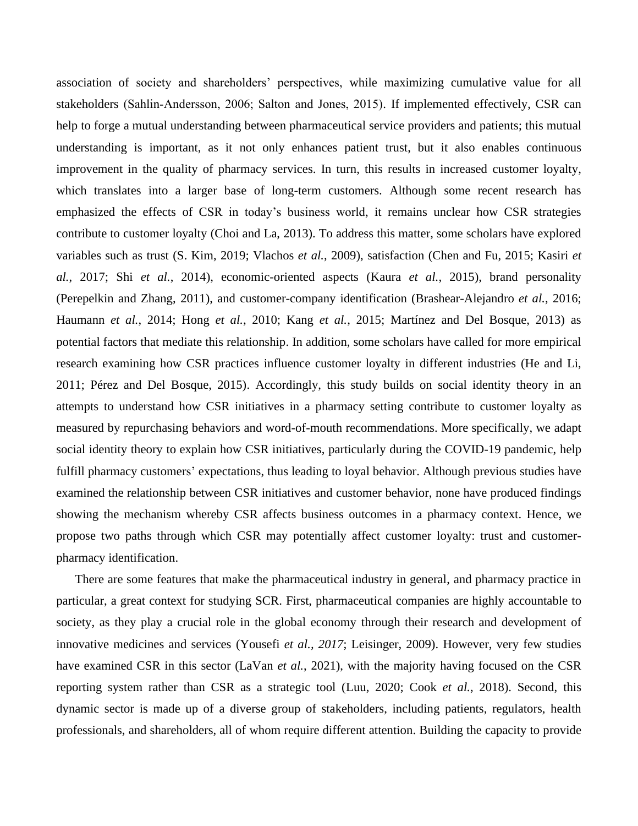association of society and shareholders' perspectives, while maximizing cumulative value for all stakeholders (Sahlin‐Andersson, 2006; Salton and Jones, 2015). If implemented effectively, CSR can help to forge a mutual understanding between pharmaceutical service providers and patients; this mutual understanding is important, as it not only enhances patient trust, but it also enables continuous improvement in the quality of pharmacy services. In turn, this results in increased customer loyalty, which translates into a larger base of long-term customers. Although some recent research has emphasized the effects of CSR in today's business world, it remains unclear how CSR strategies contribute to customer loyalty (Choi and La, 2013). To address this matter, some scholars have explored variables such as trust (S. Kim, 2019; Vlachos *et al.*, 2009), satisfaction (Chen and Fu, 2015; Kasiri *et al.*, 2017; Shi *et al.*, 2014), economic-oriented aspects (Kaura *et al.*, 2015), brand personality (Perepelkin and Zhang, 2011), and customer-company identification (Brashear-Alejandro *et al.*, 2016; Haumann *et al.*, 2014; Hong *et al.*, 2010; Kang *et al.*, 2015; Martínez and Del Bosque, 2013) as potential factors that mediate this relationship. In addition, some scholars have called for more empirical research examining how CSR practices influence customer loyalty in different industries (He and Li, 2011; Pérez and Del Bosque, 2015). Accordingly, this study builds on social identity theory in an attempts to understand how CSR initiatives in a pharmacy setting contribute to customer loyalty as measured by repurchasing behaviors and word-of-mouth recommendations. More specifically, we adapt social identity theory to explain how CSR initiatives, particularly during the COVID-19 pandemic, help fulfill pharmacy customers' expectations, thus leading to loyal behavior. Although previous studies have examined the relationship between CSR initiatives and customer behavior, none have produced findings showing the mechanism whereby CSR affects business outcomes in a pharmacy context. Hence, we propose two paths through which CSR may potentially affect customer loyalty: trust and customerpharmacy identification.

There are some features that make the pharmaceutical industry in general, and pharmacy practice in particular, a great context for studying SCR. First, pharmaceutical companies are highly accountable to society, as they play a crucial role in the global economy through their research and development of innovative medicines and services (Yousefi *et al., 2017*; Leisinger, 2009). However, very few studies have examined CSR in this sector (LaVan *et al.*, 2021), with the majority having focused on the CSR reporting system rather than CSR as a strategic tool (Luu, 2020; Cook *et al.*, 2018). Second, this dynamic sector is made up of a diverse group of stakeholders, including patients, regulators, health professionals, and shareholders, all of whom require different attention. Building the capacity to provide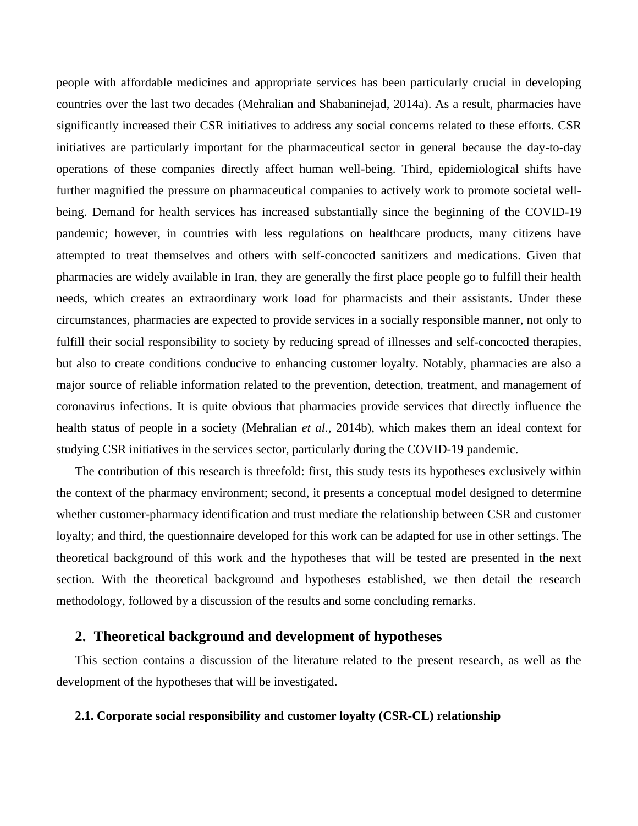people with affordable medicines and appropriate services has been particularly crucial in developing countries over the last two decades (Mehralian and [Shabaninejad,](https://www.ncbi.nlm.nih.gov/pubmed/?term=Shabaninejad%20H%5BAuthor%5D&cauthor=true&cauthor_uid=25237330) 2014a). As a result, pharmacies have significantly increased their CSR initiatives to address any social concerns related to these efforts. CSR initiatives are particularly important for the pharmaceutical sector in general because the day-to-day operations of these companies directly affect human well-being. Third, epidemiological shifts have further magnified the pressure on pharmaceutical companies to actively work to promote societal wellbeing. Demand for health services has increased substantially since the beginning of the COVID-19 pandemic; however, in countries with less regulations on healthcare products, many citizens have attempted to treat themselves and others with self-concocted sanitizers and medications. Given that pharmacies are widely available in Iran, they are generally the first place people go to fulfill their health needs, which creates an extraordinary work load for pharmacists and their assistants. Under these circumstances, pharmacies are expected to provide services in a socially responsible manner, not only to fulfill their social responsibility to society by reducing spread of illnesses and self-concocted therapies, but also to create conditions conducive to enhancing customer loyalty.Notably, pharmacies are also a major source of reliable information related to the prevention, detection, treatment, and management of coronavirus infections. It is quite obvious that pharmacies provide services that directly influence the health status of people in a society (Mehralian *et al.,* 2014b), which makes them an ideal context for studying CSR initiatives in the services sector, particularly during the COVID-19 pandemic.

The contribution of this research is threefold: first, this study tests its hypotheses exclusively within the context of the pharmacy environment; second, it presents a conceptual model designed to determine whether customer-pharmacy identification and trust mediate the relationship between CSR and customer loyalty; and third, the questionnaire developed for this work can be adapted for use in other settings. The theoretical background of this work and the hypotheses that will be tested are presented in the next section. With the theoretical background and hypotheses established, we then detail the research methodology, followed by a discussion of the results and some concluding remarks.

## **2. Theoretical background and development of hypotheses**

This section contains a discussion of the literature related to the present research, as well as the development of the hypotheses that will be investigated.

#### **2.1. Corporate social responsibility and customer loyalty (CSR-CL) relationship**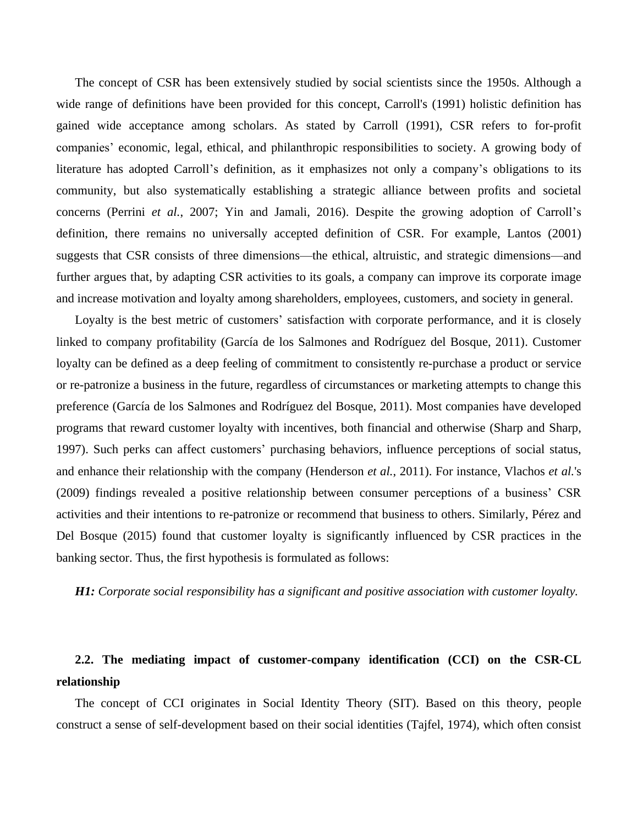The concept of CSR has been extensively studied by social scientists since the 1950s. Although a wide range of definitions have been provided for this concept, Carroll's (1991) holistic definition has gained wide acceptance among scholars. As stated by Carroll (1991), CSR refers to for-profit companies' economic, legal, ethical, and philanthropic responsibilities to society. A growing body of literature has adopted Carroll's definition, as it emphasizes not only a company's obligations to its community, but also systematically establishing a strategic alliance between profits and societal concerns (Perrini *et al.*, 2007; Yin and Jamali, 2016). Despite the growing adoption of Carroll's definition, there remains no universally accepted definition of CSR. For example, Lantos (2001) suggests that CSR consists of three dimensions—the ethical, altruistic, and strategic dimensions—and further argues that, by adapting CSR activities to its goals, a company can improve its corporate image and increase motivation and loyalty among shareholders, employees, customers, and society in general.

Loyalty is the best metric of customers' satisfaction with corporate performance, and it is closely linked to company profitability (García de los Salmones and Rodríguez del Bosque, 2011). Customer loyalty can be defined as a deep feeling of commitment to consistently re-purchase a product or service or re-patronize a business in the future, regardless of circumstances or marketing attempts to change this preference (García de los Salmones and Rodríguez del Bosque, 2011). Most companies have developed programs that reward customer loyalty with incentives, both financial and otherwise (Sharp and Sharp, 1997). Such perks can affect customers' purchasing behaviors, influence perceptions of social status, and enhance their relationship with the company (Henderson *et al.*, 2011). For instance, Vlachos *et al.*'s (2009) findings revealed a positive relationship between consumer perceptions of a business' CSR activities and their intentions to re-patronize or recommend that business to others. Similarly, Pérez and Del Bosque (2015) found that customer loyalty is significantly influenced by CSR practices in the banking sector. Thus, the first hypothesis is formulated as follows:

*H1: Corporate social responsibility has a significant and positive association with customer loyalty.*

## **2.2. The mediating impact of customer-company identification (CCI) on the CSR-CL relationship**

The concept of CCI originates in Social Identity Theory (SIT). Based on this theory, people construct a sense of self-development based on their social identities (Tajfel, 1974), which often consist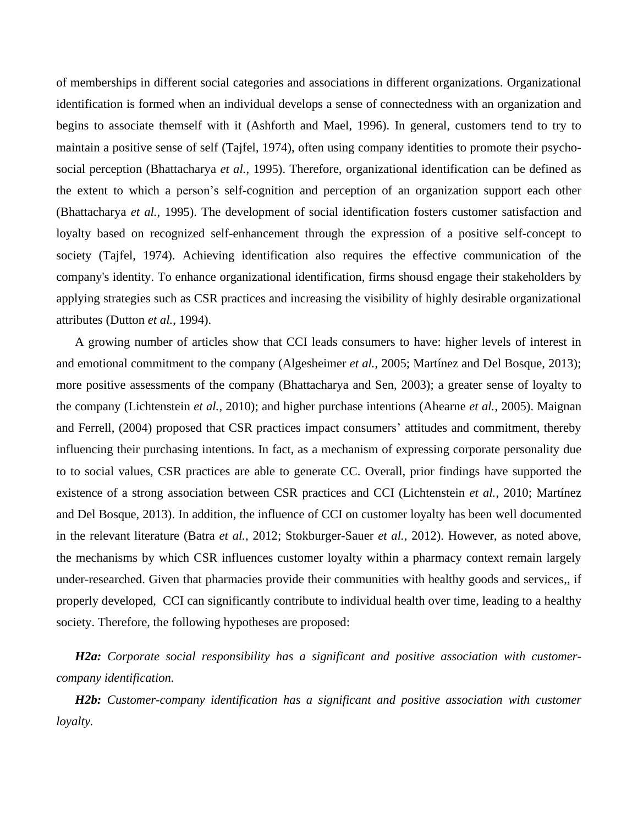of memberships in different social categories and associations in different organizations. Organizational identification is formed when an individual develops a sense of connectedness with an organization and begins to associate themself with it (Ashforth and Mael, 1996). In general, customers tend to try to maintain a positive sense of self (Tajfel, 1974), often using company identities to promote their psychosocial perception (Bhattacharya *et al.*, 1995). Therefore, organizational identification can be defined as the extent to which a person's self-cognition and perception of an organization support each other (Bhattacharya *et al.*, 1995). The development of social identification fosters customer satisfaction and loyalty based on recognized self-enhancement through the expression of a positive self-concept to society (Tajfel, 1974). Achieving identification also requires the effective communication of the company's identity. To enhance organizational identification, firms shousd engage their stakeholders by applying strategies such as CSR practices and increasing the visibility of highly desirable organizational attributes (Dutton *et al.*, 1994).

A growing number of articles show that CCI leads consumers to have: higher levels of interest in and emotional commitment to the company (Algesheimer *et al.*, 2005; Martínez and Del Bosque, 2013); more positive assessments of the company (Bhattacharya and Sen, 2003); a greater sense of loyalty to the company (Lichtenstein *et al.*, 2010); and higher purchase intentions (Ahearne *et al.*, 2005). Maignan and Ferrell, (2004) proposed that CSR practices impact consumers' attitudes and commitment, thereby influencing their purchasing intentions. In fact, as a mechanism of expressing corporate personality due to to social values, CSR practices are able to generate CC. Overall, prior findings have supported the existence of a strong association between CSR practices and CCI (Lichtenstein *et al.*, 2010; Martínez and Del Bosque, 2013). In addition, the influence of CCI on customer loyalty has been well documented in the relevant literature (Batra *et al.*, 2012; Stokburger-Sauer *et al.*, 2012). However, as noted above, the mechanisms by which CSR influences customer loyalty within a pharmacy context remain largely under-researched. Given that pharmacies provide their communities with healthy goods and services,, if properly developed, CCI can significantly contribute to individual health over time, leading to a healthy society. Therefore, the following hypotheses are proposed:

*H2a: Corporate social responsibility has a significant and positive association with customercompany identification.*

*H2b: Customer-company identification has a significant and positive association with customer loyalty.*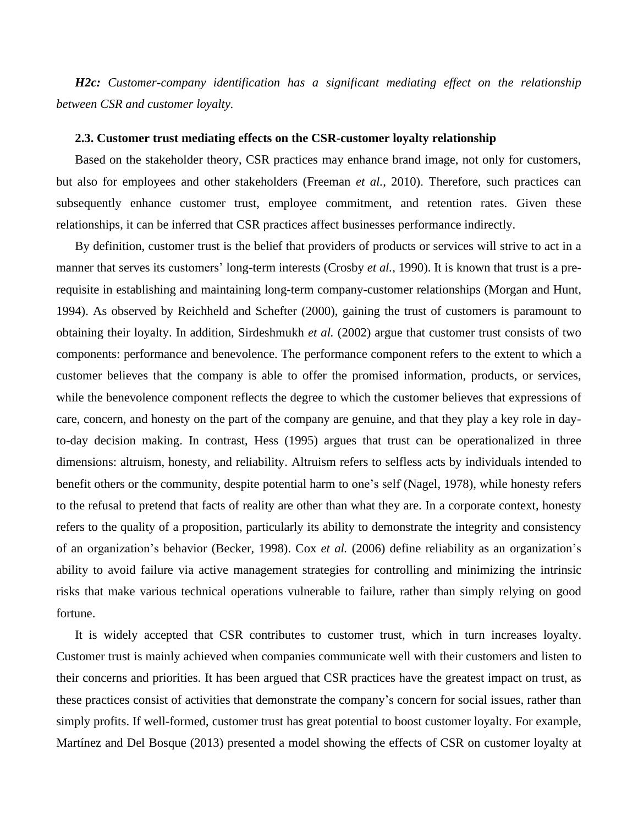*H2c: Customer-company identification has a significant mediating effect on the relationship between CSR and customer loyalty.*

#### **2.3. Customer trust mediating effects on the CSR-customer loyalty relationship**

Based on the stakeholder theory, CSR practices may enhance brand image, not only for customers, but also for employees and other stakeholders (Freeman *et al.*, 2010) . Therefore, such practices can subsequently enhance customer trust, employee commitment, and retention rates. Given these relationships, it can be inferred that CSR practices affect businesses performance indirectly.

By definition, customer trust is the belief that providers of products or services will strive to act in a manner that serves its customers' long-term interests (Crosby *et al.*, 1990). It is known that trust is a prerequisite in establishing and maintaining long-term company-customer relationships (Morgan and Hunt, 1994). As observed by Reichheld and Schefter (2000), gaining the trust of customers is paramount to obtaining their loyalty. In addition, Sirdeshmukh *et al.* (2002) argue that customer trust consists of two components: performance and benevolence. The performance component refers to the extent to which a customer believes that the company is able to offer the promised information, products, or services, while the benevolence component reflects the degree to which the customer believes that expressions of care, concern, and honesty on the part of the company are genuine, and that they play a key role in dayto-day decision making. In contrast, Hess (1995) argues that trust can be operationalized in three dimensions: altruism, honesty, and reliability. Altruism refers to selfless acts by individuals intended to benefit others or the community, despite potential harm to one's self (Nagel, 1978), while honesty refers to the refusal to pretend that facts of reality are other than what they are. In a corporate context, honesty refers to the quality of a proposition, particularly its ability to demonstrate the integrity and consistency of an organization's behavior (Becker, 1998). Cox *et al.* (2006) define reliability as an organization's ability to avoid failure via active management strategies for controlling and minimizing the intrinsic risks that make various technical operations vulnerable to failure, rather than simply relying on good fortune.

It is widely accepted that CSR contributes to customer trust, which in turn increases loyalty. Customer trust is mainly achieved when companies communicate well with their customers and listen to their concerns and priorities. It has been argued that CSR practices have the greatest impact on trust, as these practices consist of activities that demonstrate the company's concern for social issues, rather than simply profits. If well-formed, customer trust has great potential to boost customer loyalty. For example, Martínez and Del Bosque (2013) presented a model showing the effects of CSR on customer loyalty at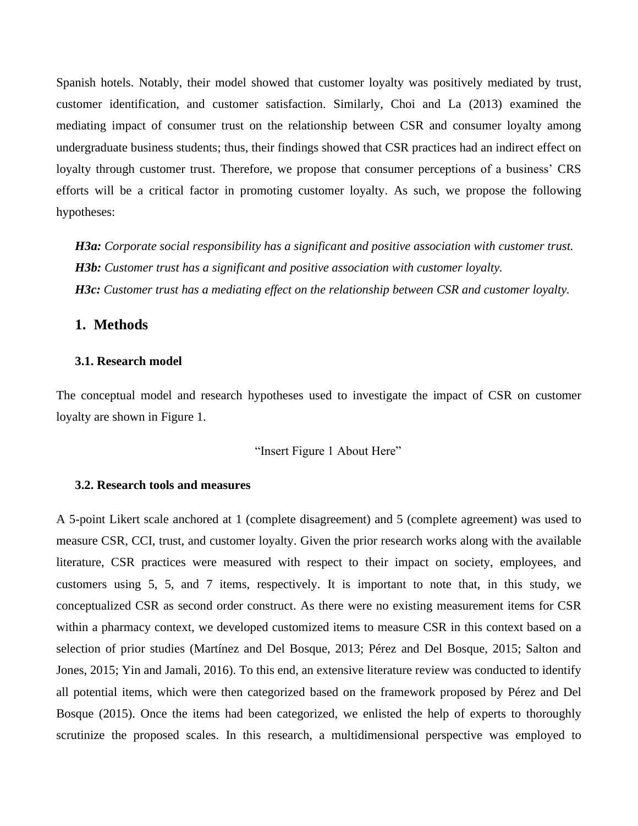Spanish hotels. Notably, their model showed that customer loyalty was positively mediated by trust, customer identification, and customer satisfaction. Similarly, Choi and La (2013) examined the mediating impact of consumer trust on the relationship between CSR and consumer loyalty among undergraduate business students; thus, their findings showed that CSR practices had an indirect effect on loyalty through customer trust. Therefore, we propose that consumer perceptions of a business' CRS efforts will be a critical factor in promoting customer loyalty. As such, we propose the following hypotheses:

*H3a: Corporate social responsibility has a significant and positive association with customer trust. H3b: Customer trust has a significant and positive association with customer loyalty. H3c: Customer trust has a mediating effect on the relationship between CSR and customer loyalty.*

## **1. Methods**

### **3.1. Research model**

The conceptual model and research hypotheses used to investigate the impact of CSR on customer loyalty are shown in Figure 1.

"Insert Figure 1 About Here"

#### **3.2. Research tools and measures**

A 5-point Likert scale anchored at 1 (complete disagreement) and 5 (complete agreement) was used to measure CSR, CCI, trust, and customer loyalty. Given the prior research works along with the available literature, CSR practices were measured with respect to their impact on society, employees, and customers using 5, 5, and 7 items, respectively. It is important to note that, in this study, we conceptualized CSR as second order construct. As there were no existing measurement items for CSR within a pharmacy context, we developed customized items to measure CSR in this context based on a selection of prior studies (Martínez and Del Bosque, 2013; Pérez and Del Bosque, 2015; Salton and Jones, 2015; Yin and Jamali, 2016). To this end, an extensive literature review was conducted to identify all potential items, which were then categorized based on the framework proposed by Pérez and Del Bosque (2015). Once the items had been categorized, we enlisted the help of experts to thoroughly scrutinize the proposed scales. In this research, a multidimensional perspective was employed to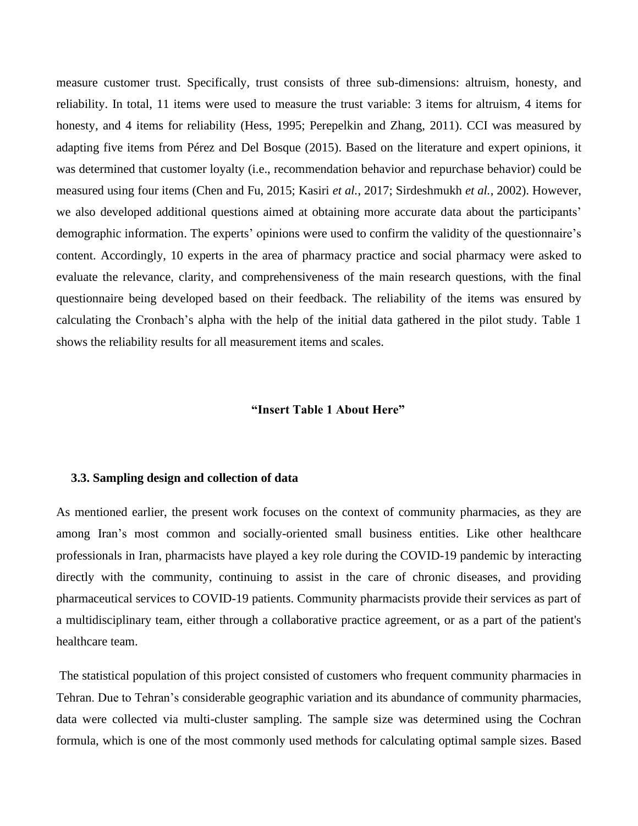measure customer trust. Specifically, trust consists of three sub-dimensions: altruism, honesty, and reliability. In total, 11 items were used to measure the trust variable: 3 items for altruism, 4 items for honesty, and 4 items for reliability (Hess, 1995; Perepelkin and Zhang, 2011). CCI was measured by adapting five items from Pérez and Del Bosque (2015). Based on the literature and expert opinions, it was determined that customer loyalty (i.e., recommendation behavior and repurchase behavior) could be measured using four items (Chen and Fu, 2015; Kasiri *et al.*, 2017; Sirdeshmukh *et al.*, 2002). However, we also developed additional questions aimed at obtaining more accurate data about the participants' demographic information. The experts' opinions were used to confirm the validity of the questionnaire's content. Accordingly, 10 experts in the area of pharmacy practice and social pharmacy were asked to evaluate the relevance, clarity, and comprehensiveness of the main research questions, with the final questionnaire being developed based on their feedback. The reliability of the items was ensured by calculating the Cronbach's alpha with the help of the initial data gathered in the pilot study. Table 1 shows the reliability results for all measurement items and scales.

### **"Insert Table 1 About Here"**

#### **3.3. Sampling design and collection of data**

As mentioned earlier, the present work focuses on the context of community pharmacies, as they are among Iran's most common and socially-oriented small business entities. Like other healthcare professionals in Iran, pharmacists have played a key role during the COVID-19 pandemic by interacting directly with the community, continuing to assist in the care of chronic diseases, and providing pharmaceutical services to COVID-19 patients. Community pharmacists provide their services as part of a multidisciplinary team, either through a collaborative practice agreement, or as a part of the patient's healthcare team.

The statistical population of this project consisted of customers who frequent community pharmacies in Tehran. Due to Tehran's considerable geographic variation and its abundance of community pharmacies, data were collected via multi-cluster sampling. The sample size was determined using the Cochran formula, which is one of the most commonly used methods for calculating optimal sample sizes. Based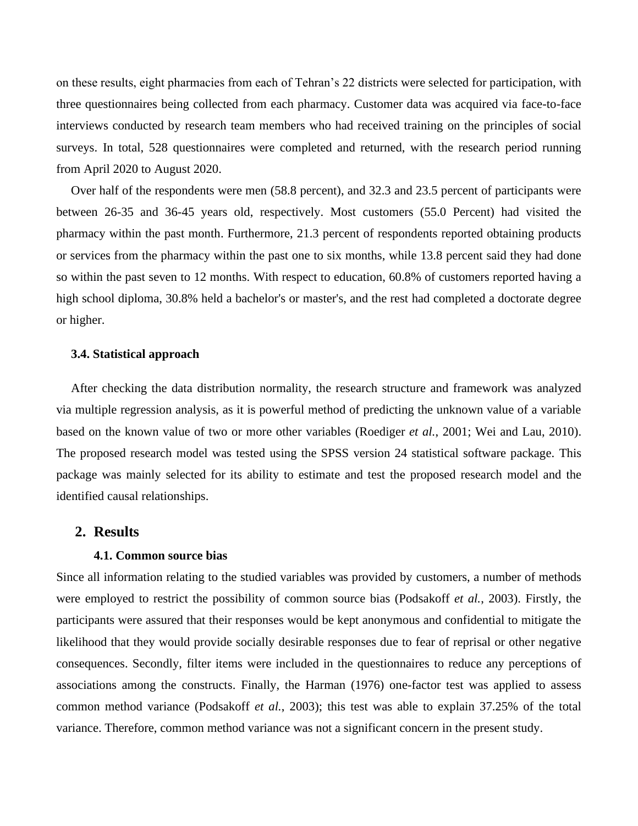on these results, eight pharmacies from each of Tehran's 22 districts were selected for participation, with three questionnaires being collected from each pharmacy. Customer data was acquired via face-to-face interviews conducted by research team members who had received training on the principles of social surveys. In total, 528 questionnaires were completed and returned, with the research period running from April 2020 to August 2020.

Over half of the respondents were men (58.8 percent), and 32.3 and 23.5 percent of participants were between 26-35 and 36-45 years old, respectively. Most customers (55.0 Percent) had visited the pharmacy within the past month. Furthermore, 21.3 percent of respondents reported obtaining products or services from the pharmacy within the past one to six months, while 13.8 percent said they had done so within the past seven to 12 months. With respect to education, 60.8% of customers reported having a high school diploma, 30.8% held a bachelor's or master's, and the rest had completed a doctorate degree or higher.

#### **3.4. Statistical approach**

After checking the data distribution normality, the research structure and framework was analyzed via multiple regression analysis, as it is powerful method of predicting the unknown value of a variable based on the known value of two or more other variables (Roediger *et al.*, 2001; Wei and Lau, 2010). The proposed research model was tested using the SPSS version 24 statistical software package. This package was mainly selected for its ability to estimate and test the proposed research model and the identified causal relationships.

## **2. Results**

#### **4.1. Common source bias**

Since all information relating to the studied variables was provided by customers, a number of methods were employed to restrict the possibility of common source bias (Podsakoff *et al.*, 2003). Firstly, the participants were assured that their responses would be kept anonymous and confidential to mitigate the likelihood that they would provide socially desirable responses due to fear of reprisal or other negative consequences. Secondly, filter items were included in the questionnaires to reduce any perceptions of associations among the constructs. Finally, the Harman (1976) one-factor test was applied to assess common method variance (Podsakoff *et al.*, 2003); this test was able to explain 37.25% of the total variance. Therefore, common method variance was not a significant concern in the present study.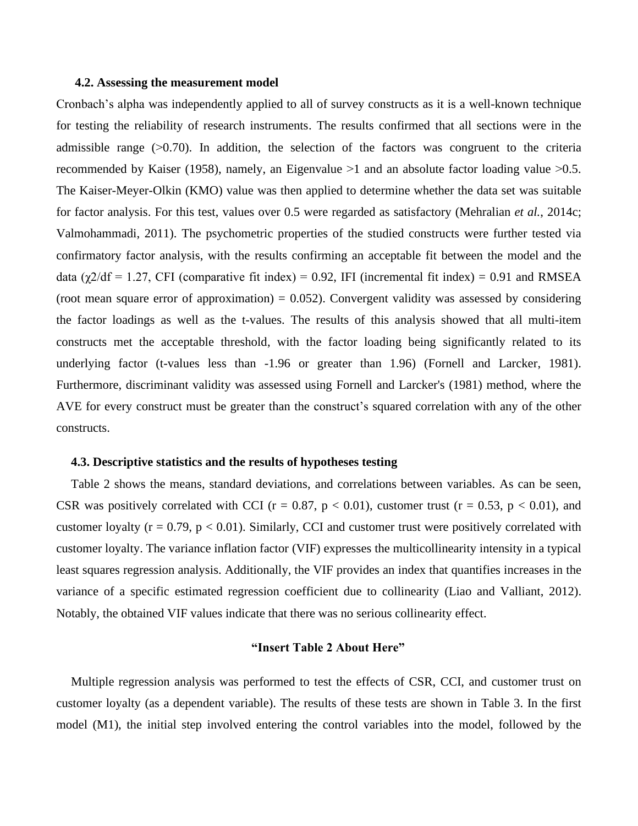#### **4.2. Assessing the measurement model**

Cronbach's alpha was independently applied to all of survey constructs as it is a well-known technique for testing the reliability of research instruments. The results confirmed that all sections were in the admissible range  $(0.70)$ . In addition, the selection of the factors was congruent to the criteria recommended by Kaiser (1958), namely, an Eigenvalue  $>1$  and an absolute factor loading value  $>0.5$ . The Kaiser-Meyer-Olkin (KMO) value was then applied to determine whether the data set was suitable for factor analysis. For this test, values over 0.5 were regarded as satisfactory (Mehralian *et al.*, 2014c; Valmohammadi, 2011). The psychometric properties of the studied constructs were further tested via confirmatory factor analysis, with the results confirming an acceptable fit between the model and the data ( $\chi$ 2/df = 1.27, CFI (comparative fit index) = 0.92, IFI (incremental fit index) = 0.91 and RMSEA (root mean square error of approximation) =  $0.052$ ). Convergent validity was assessed by considering the factor loadings as well as the t-values. The results of this analysis showed that all multi-item constructs met the acceptable threshold, with the factor loading being significantly related to its underlying factor (t-values less than -1.96 or greater than 1.96) (Fornell and Larcker, 1981). Furthermore, discriminant validity was assessed using Fornell and Larcker's (1981) method, where the AVE for every construct must be greater than the construct's squared correlation with any of the other constructs.

#### **4.3. Descriptive statistics and the results of hypotheses testing**

Table 2 shows the means, standard deviations, and correlations between variables. As can be seen, CSR was positively correlated with CCI ( $r = 0.87$ ,  $p < 0.01$ ), customer trust ( $r = 0.53$ ,  $p < 0.01$ ), and customer loyalty ( $r = 0.79$ ,  $p < 0.01$ ). Similarly, CCI and customer trust were positively correlated with customer loyalty. The variance inflation factor (VIF) expresses the multicollinearity intensity in a typical least squares regression analysis. Additionally, the VIF provides an index that quantifies increases in the variance of a specific estimated regression coefficient due to collinearity (Liao and Valliant, 2012). Notably, the obtained VIF values indicate that there was no serious collinearity effect.

### **"Insert Table 2 About Here"**

Multiple regression analysis was performed to test the effects of CSR, CCI, and customer trust on customer loyalty (as a dependent variable). The results of these tests are shown in Table 3. In the first model (M1), the initial step involved entering the control variables into the model, followed by the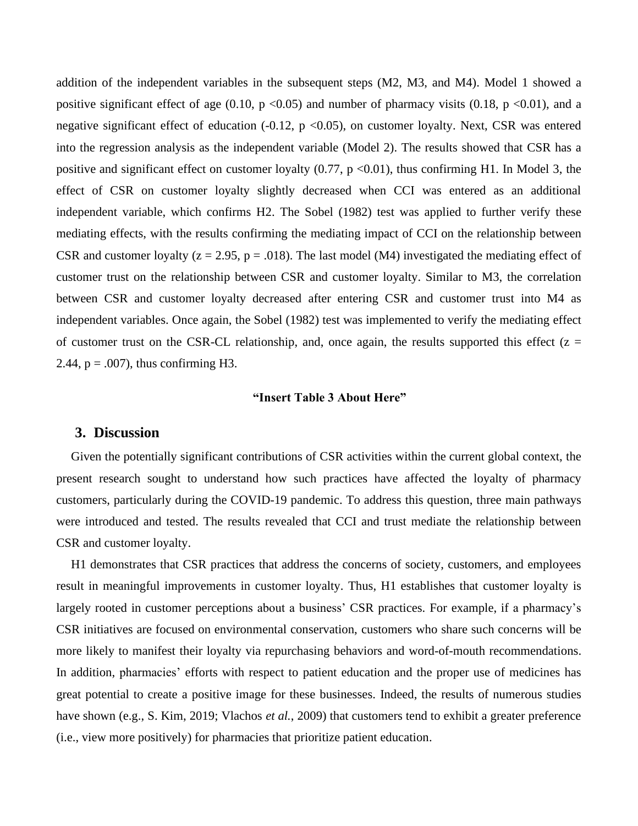addition of the independent variables in the subsequent steps (M2, M3, and M4). Model 1 showed a positive significant effect of age (0.10, p <0.05) and number of pharmacy visits (0.18, p <0.01), and a negative significant effect of education  $(-0.12, p \le 0.05)$ , on customer loyalty. Next, CSR was entered into the regression analysis as the independent variable (Model 2). The results showed that CSR has a positive and significant effect on customer loyalty  $(0.77, p \le 0.01)$ , thus confirming H1. In Model 3, the effect of CSR on customer loyalty slightly decreased when CCI was entered as an additional independent variable, which confirms H2. The Sobel (1982) test was applied to further verify these mediating effects, with the results confirming the mediating impact of CCI on the relationship between CSR and customer loyalty ( $z = 2.95$ ,  $p = .018$ ). The last model (M4) investigated the mediating effect of customer trust on the relationship between CSR and customer loyalty. Similar to M3, the correlation between CSR and customer loyalty decreased after entering CSR and customer trust into M4 as independent variables. Once again, the Sobel (1982) test was implemented to verify the mediating effect of customer trust on the CSR-CL relationship, and, once again, the results supported this effect  $(z =$ 2.44,  $p = .007$ , thus confirming H3.

#### **"Insert Table 3 About Here"**

## **3. Discussion**

Given the potentially significant contributions of CSR activities within the current global context, the present research sought to understand how such practices have affected the loyalty of pharmacy customers, particularly during the COVID-19 pandemic. To address this question, three main pathways were introduced and tested. The results revealed that CCI and trust mediate the relationship between CSR and customer loyalty.

H1 demonstrates that CSR practices that address the concerns of society, customers, and employees result in meaningful improvements in customer loyalty. Thus, H1 establishes that customer loyalty is largely rooted in customer perceptions about a business' CSR practices. For example, if a pharmacy's CSR initiatives are focused on environmental conservation, customers who share such concerns will be more likely to manifest their loyalty via repurchasing behaviors and word-of-mouth recommendations. In addition, pharmacies' efforts with respect to patient education and the proper use of medicines has great potential to create a positive image for these businesses. Indeed, the results of numerous studies have shown (e.g., S. Kim, 2019; Vlachos *et al.*, 2009) that customers tend to exhibit a greater preference (i.e., view more positively) for pharmacies that prioritize patient education.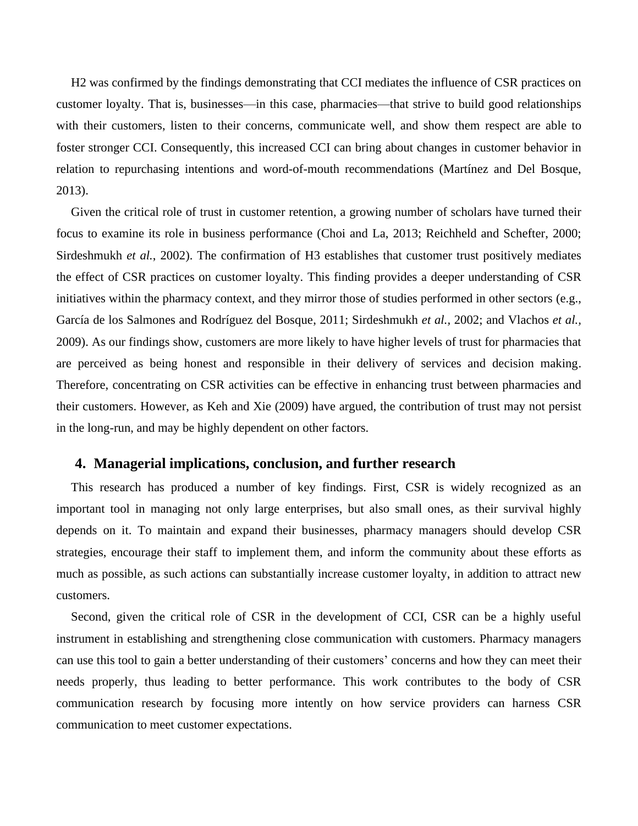H2 was confirmed by the findings demonstrating that CCI mediates the influence of CSR practices on customer loyalty. That is, businesses—in this case, pharmacies—that strive to build good relationships with their customers, listen to their concerns, communicate well, and show them respect are able to foster stronger CCI. Consequently, this increased CCI can bring about changes in customer behavior in relation to repurchasing intentions and word-of-mouth recommendations (Martínez and Del Bosque, 2013).

Given the critical role of trust in customer retention, a growing number of scholars have turned their focus to examine its role in business performance (Choi and La, 2013; Reichheld and Schefter, 2000; Sirdeshmukh *et al.*, 2002). The confirmation of H3 establishes that customer trust positively mediates the effect of CSR practices on customer loyalty. This finding provides a deeper understanding of CSR initiatives within the pharmacy context, and they mirror those of studies performed in other sectors (e.g., García de los Salmones and Rodríguez del Bosque, 2011; Sirdeshmukh *et al.,* 2002; and Vlachos *et al.,* 2009). As our findings show, customers are more likely to have higher levels of trust for pharmacies that are perceived as being honest and responsible in their delivery of services and decision making. Therefore, concentrating on CSR activities can be effective in enhancing trust between pharmacies and their customers. However, as Keh and Xie (2009) have argued, the contribution of trust may not persist in the long-run, and may be highly dependent on other factors.

## **4. Managerial implications, conclusion, and further research**

This research has produced a number of key findings. First, CSR is widely recognized as an important tool in managing not only large enterprises, but also small ones, as their survival highly depends on it. To maintain and expand their businesses, pharmacy managers should develop CSR strategies, encourage their staff to implement them, and inform the community about these efforts as much as possible, as such actions can substantially increase customer loyalty, in addition to attract new customers.

Second, given the critical role of CSR in the development of CCI, CSR can be a highly useful instrument in establishing and strengthening close communication with customers. Pharmacy managers can use this tool to gain a better understanding of their customers' concerns and how they can meet their needs properly, thus leading to better performance. This work contributes to the body of CSR communication research by focusing more intently on how service providers can harness CSR communication to meet customer expectations.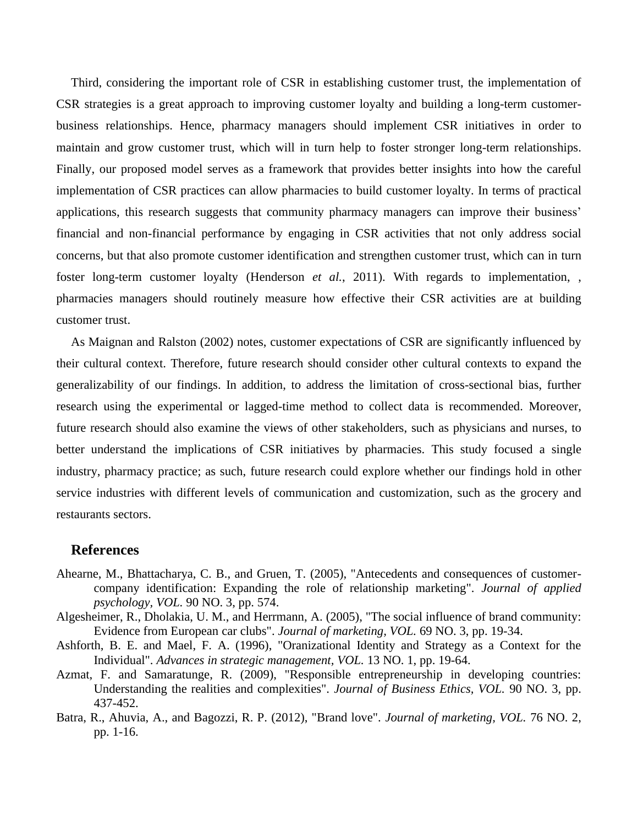Third, considering the important role of CSR in establishing customer trust, the implementation of CSR strategies is a great approach to improving customer loyalty and building a long-term customerbusiness relationships. Hence, pharmacy managers should implement CSR initiatives in order to maintain and grow customer trust, which will in turn help to foster stronger long-term relationships. Finally, our proposed model serves as a framework that provides better insights into how the careful implementation of CSR practices can allow pharmacies to build customer loyalty. In terms of practical applications, this research suggests that community pharmacy managers can improve their business' financial and non-financial performance by engaging in CSR activities that not only address social concerns, but that also promote customer identification and strengthen customer trust, which can in turn foster long-term customer loyalty (Henderson *et al.*, 2011). With regards to implementation, , pharmacies managers should routinely measure how effective their CSR activities are at building customer trust.

As Maignan and Ralston (2002) notes, customer expectations of CSR are significantly influenced by their cultural context. Therefore, future research should consider other cultural contexts to expand the generalizability of our findings. In addition, to address the limitation of cross-sectional bias, further research using the experimental or lagged-time method to collect data is recommended. Moreover, future research should also examine the views of other stakeholders, such as physicians and nurses, to better understand the implications of CSR initiatives by pharmacies. This study focused a single industry, pharmacy practice; as such, future research could explore whether our findings hold in other service industries with different levels of communication and customization, such as the grocery and restaurants sectors.

## **References**

- Ahearne, M., Bhattacharya, C. B., and Gruen, T. (2005), "Antecedents and consequences of customercompany identification: Expanding the role of relationship marketing". *Journal of applied psychology, VOL.* 90 NO. 3, pp. 574.
- Algesheimer, R., Dholakia, U. M., and Herrmann, A. (2005), "The social influence of brand community: Evidence from European car clubs". *Journal of marketing, VOL.* 69 NO. 3, pp. 19-34.
- Ashforth, B. E. and Mael, F. A. (1996), "Oranizational Identity and Strategy as a Context for the Individual". *Advances in strategic management, VOL.* 13 NO. 1, pp. 19-64.
- Azmat, F. and Samaratunge, R. (2009), "Responsible entrepreneurship in developing countries: Understanding the realities and complexities". *Journal of Business Ethics, VOL.* 90 NO. 3, pp. 437-452.
- Batra, R., Ahuvia, A., and Bagozzi, R. P. (2012), "Brand love". *Journal of marketing, VOL.* 76 NO. 2, pp. 1-16.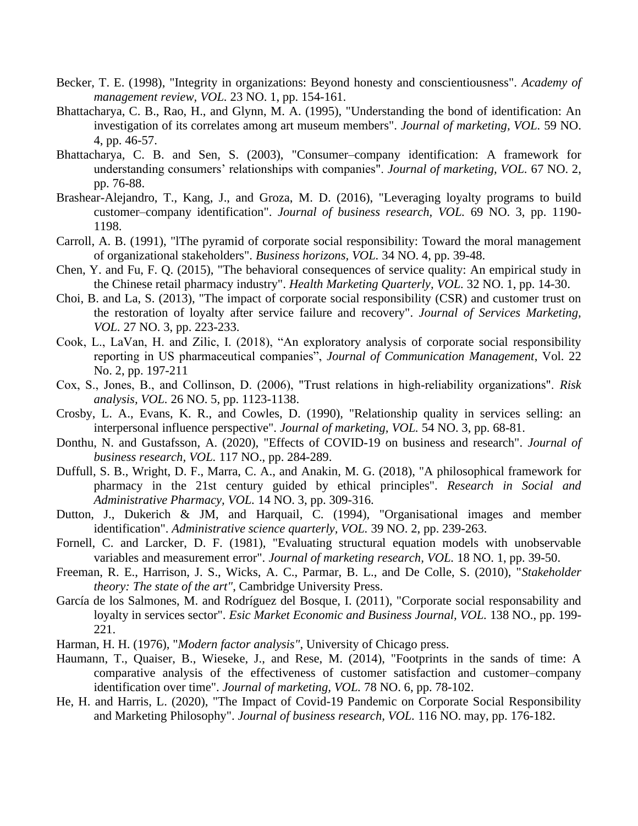- Becker, T. E. (1998), "Integrity in organizations: Beyond honesty and conscientiousness". *Academy of management review, VOL.* 23 NO. 1, pp. 154-161.
- Bhattacharya, C. B., Rao, H., and Glynn, M. A. (1995), "Understanding the bond of identification: An investigation of its correlates among art museum members". *Journal of marketing, VOL.* 59 NO. 4, pp. 46-57.
- Bhattacharya, C. B. and Sen, S. (2003), "Consumer–company identification: A framework for understanding consumers' relationships with companies". *Journal of marketing, VOL.* 67 NO. 2, pp. 76-88.
- Brashear-Alejandro, T., Kang, J., and Groza, M. D. (2016), "Leveraging loyalty programs to build customer–company identification". *Journal of business research, VOL.* 69 NO. 3, pp. 1190- 1198.
- Carroll, A. B. (1991), "lThe pyramid of corporate social responsibility: Toward the moral management of organizational stakeholders". *Business horizons, VOL.* 34 NO. 4, pp. 39-48.
- Chen, Y. and Fu, F. Q. (2015), "The behavioral consequences of service quality: An empirical study in the Chinese retail pharmacy industry". *Health Marketing Quarterly, VOL.* 32 NO. 1, pp. 14-30.
- Choi, B. and La, S. (2013), "The impact of corporate social responsibility (CSR) and customer trust on the restoration of loyalty after service failure and recovery". *Journal of Services Marketing, VOL.* 27 NO. 3, pp. 223-233.
- Cook, L., LaVan, H. and Zilic, I. (2018), "An exploratory analysis of corporate social responsibility reporting in US pharmaceutical companies", *Journal of Communication Management*, Vol. 22 No. 2, pp. 197-211
- Cox, S., Jones, B., and Collinson, D. (2006), "Trust relations in high‐reliability organizations". *Risk analysis, VOL.* 26 NO. 5, pp. 1123-1138.
- Crosby, L. A., Evans, K. R., and Cowles, D. (1990), "Relationship quality in services selling: an interpersonal influence perspective". *Journal of marketing, VOL.* 54 NO. 3, pp. 68-81.
- Donthu, N. and Gustafsson, A. (2020), "Effects of COVID-19 on business and research". *Journal of business research, VOL.* 117 NO., pp. 284-289.
- Duffull, S. B., Wright, D. F., Marra, C. A., and Anakin, M. G. (2018), "A philosophical framework for pharmacy in the 21st century guided by ethical principles". *Research in Social and Administrative Pharmacy, VOL.* 14 NO. 3, pp. 309-316.
- Dutton, J., Dukerich & JM, and Harquail, C. (1994), "Organisational images and member identification". *Administrative science quarterly, VOL.* 39 NO. 2, pp. 239-263.
- Fornell, C. and Larcker, D. F. (1981), "Evaluating structural equation models with unobservable variables and measurement error". *Journal of marketing research, VOL.* 18 NO. 1, pp. 39-50.
- Freeman, R. E., Harrison, J. S., Wicks, A. C., Parmar, B. L., and De Colle, S. (2010), "*Stakeholder theory: The state of the art"*, Cambridge University Press.
- García de los Salmones, M. and Rodríguez del Bosque, I. (2011), "Corporate social responsability and loyalty in services sector". *Esic Market Economic and Business Journal, VOL.* 138 NO., pp. 199-221.
- Harman, H. H. (1976), "*Modern factor analysis"*, University of Chicago press.
- Haumann, T., Quaiser, B., Wieseke, J., and Rese, M. (2014), "Footprints in the sands of time: A comparative analysis of the effectiveness of customer satisfaction and customer–company identification over time". *Journal of marketing, VOL.* 78 NO. 6, pp. 78-102.
- He, H. and Harris, L. (2020), "The Impact of Covid-19 Pandemic on Corporate Social Responsibility and Marketing Philosophy". *Journal of business research, VOL.* 116 NO. may, pp. 176-182.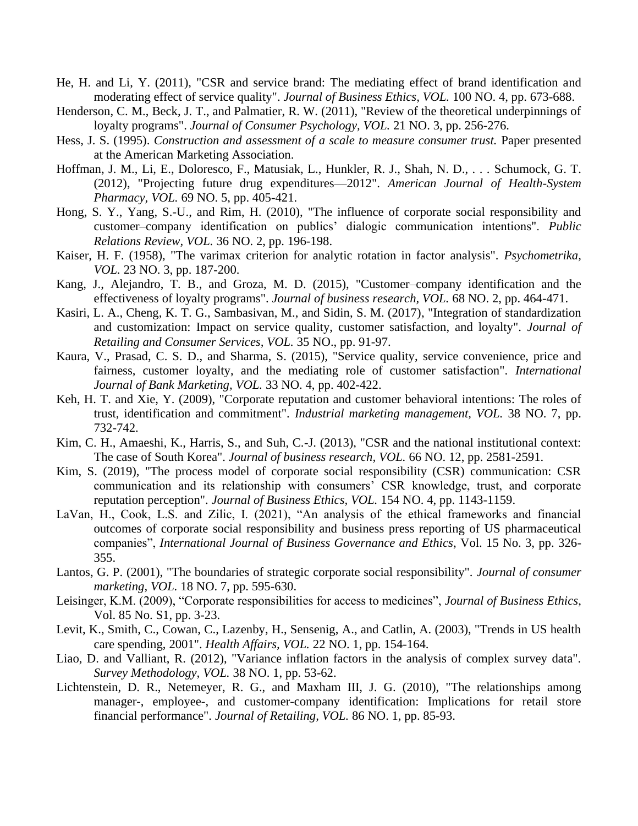- He, H. and Li, Y. (2011), "CSR and service brand: The mediating effect of brand identification and moderating effect of service quality". *Journal of Business Ethics, VOL.* 100 NO. 4, pp. 673-688.
- Henderson, C. M., Beck, J. T., and Palmatier, R. W. (2011), "Review of the theoretical underpinnings of loyalty programs". *Journal of Consumer Psychology, VOL.* 21 NO. 3, pp. 256-276.
- Hess, J. S. (1995). *Construction and assessment of a scale to measure consumer trust.* Paper presented at the American Marketing Association.
- Hoffman, J. M., Li, E., Doloresco, F., Matusiak, L., Hunkler, R. J., Shah, N. D., . . . Schumock, G. T. (2012), "Projecting future drug expenditures—2012". *American Journal of Health-System Pharmacy, VOL.* 69 NO. 5, pp. 405-421.
- Hong, S. Y., Yang, S.-U., and Rim, H. (2010), "The influence of corporate social responsibility and customer–company identification on publics' dialogic communication intentions". *Public Relations Review, VOL.* 36 NO. 2, pp. 196-198.
- Kaiser, H. F. (1958), "The varimax criterion for analytic rotation in factor analysis". *Psychometrika, VOL.* 23 NO. 3, pp. 187-200.
- Kang, J., Alejandro, T. B., and Groza, M. D. (2015), "Customer–company identification and the effectiveness of loyalty programs". *Journal of business research, VOL.* 68 NO. 2, pp. 464-471.
- Kasiri, L. A., Cheng, K. T. G., Sambasivan, M., and Sidin, S. M. (2017), "Integration of standardization and customization: Impact on service quality, customer satisfaction, and loyalty". *Journal of Retailing and Consumer Services, VOL.* 35 NO., pp. 91-97.
- Kaura, V., Prasad, C. S. D., and Sharma, S. (2015), "Service quality, service convenience, price and fairness, customer loyalty, and the mediating role of customer satisfaction". *International Journal of Bank Marketing, VOL.* 33 NO. 4, pp. 402-422.
- Keh, H. T. and Xie, Y. (2009), "Corporate reputation and customer behavioral intentions: The roles of trust, identification and commitment". *Industrial marketing management, VOL.* 38 NO. 7, pp. 732-742.
- Kim, C. H., Amaeshi, K., Harris, S., and Suh, C.-J. (2013), "CSR and the national institutional context: The case of South Korea". *Journal of business research, VOL.* 66 NO. 12, pp. 2581-2591.
- Kim, S. (2019), "The process model of corporate social responsibility (CSR) communication: CSR communication and its relationship with consumers' CSR knowledge, trust, and corporate reputation perception". *Journal of Business Ethics, VOL.* 154 NO. 4, pp. 1143-1159.
- LaVan, H., Cook, L.S. and Zilic, I. (2021), "An analysis of the ethical frameworks and financial outcomes of corporate social responsibility and business press reporting of US pharmaceutical companies", *International Journal of Business Governance and Ethics*, Vol. 15 No. 3, pp. 326- 355.
- Lantos, G. P. (2001), "The boundaries of strategic corporate social responsibility". *Journal of consumer marketing, VOL.* 18 NO. 7, pp. 595-630.
- Leisinger, K.M. (2009), "Corporate responsibilities for access to medicines", *Journal of Business Ethics*, Vol. 85 No. S1, pp. 3-23.
- Levit, K., Smith, C., Cowan, C., Lazenby, H., Sensenig, A., and Catlin, A. (2003), "Trends in US health care spending, 2001". *Health Affairs, VOL.* 22 NO. 1, pp. 154-164.
- Liao, D. and Valliant, R. (2012), "Variance inflation factors in the analysis of complex survey data". *Survey Methodology, VOL.* 38 NO. 1, pp. 53-62.
- Lichtenstein, D. R., Netemeyer, R. G., and Maxham III, J. G. (2010), "The relationships among manager-, employee-, and customer-company identification: Implications for retail store financial performance". *Journal of Retailing, VOL.* 86 NO. 1, pp. 85-93.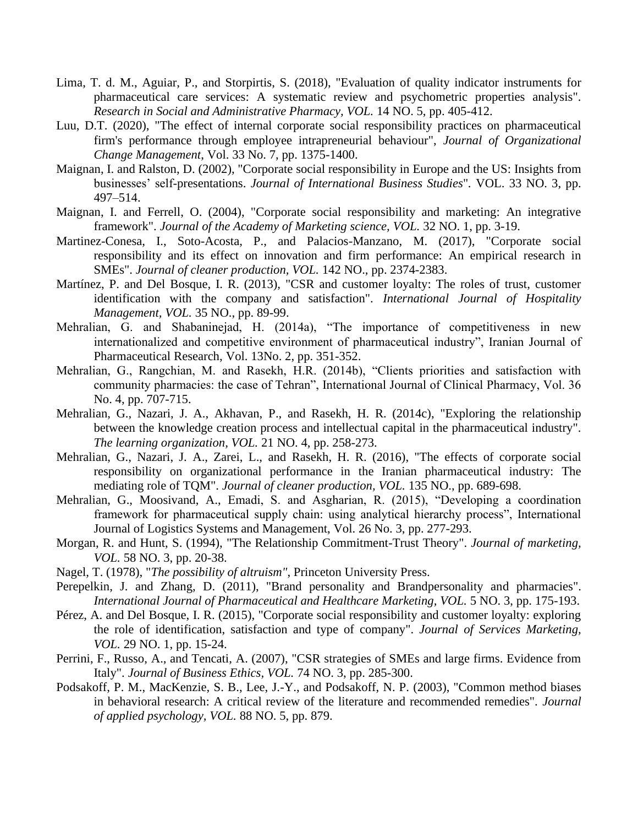- Lima, T. d. M., Aguiar, P., and Storpirtis, S. (2018), "Evaluation of quality indicator instruments for pharmaceutical care services: A systematic review and psychometric properties analysis". *Research in Social and Administrative Pharmacy, VOL.* 14 NO. 5, pp. 405-412.
- Luu, D.T. (2020), "The effect of internal corporate social responsibility practices on pharmaceutical firm's performance through employee intrapreneurial behaviour", *Journal of Organizational Change Management*, Vol. 33 No. 7, pp. 1375-1400.
- Maignan, I. and Ralston, D. (2002), "Corporate social responsibility in Europe and the US: Insights from businesses' self-presentations. *Journal of International Business Studies*"*.* VOL. 33 NO. 3, pp. 497–514.
- Maignan, I. and Ferrell, O. (2004), "Corporate social responsibility and marketing: An integrative framework". *Journal of the Academy of Marketing science, VOL.* 32 NO. 1, pp. 3-19.
- Martinez-Conesa, I., Soto-Acosta, P., and Palacios-Manzano, M. (2017), "Corporate social responsibility and its effect on innovation and firm performance: An empirical research in SMEs". *Journal of cleaner production, VOL.* 142 NO., pp. 2374-2383.
- Martínez, P. and Del Bosque, I. R. (2013), "CSR and customer loyalty: The roles of trust, customer identification with the company and satisfaction". *International Journal of Hospitality Management, VOL.* 35 NO., pp. 89-99.
- Mehralian, G. and Shabaninejad, H. (2014a), "The importance of competitiveness in new internationalized and competitive environment of pharmaceutical industry", Iranian Journal of Pharmaceutical Research, Vol. 13No. 2, pp. 351-352.
- Mehralian, G., Rangchian, M. and Rasekh, H.R. (2014b), "Clients priorities and satisfaction with community pharmacies: the case of Tehran", International Journal of Clinical Pharmacy, Vol. 36 No. 4, pp. 707-715.
- Mehralian, G., Nazari, J. A., Akhavan, P., and Rasekh, H. R. (2014c), "Exploring the relationship between the knowledge creation process and intellectual capital in the pharmaceutical industry". *The learning organization, VOL.* 21 NO. 4, pp. 258-273.
- Mehralian, G., Nazari, J. A., Zarei, L., and Rasekh, H. R. (2016), "The effects of corporate social responsibility on organizational performance in the Iranian pharmaceutical industry: The mediating role of TQM". *Journal of cleaner production, VOL.* 135 NO., pp. 689-698.
- Mehralian, G., Moosivand, A., Emadi, S. and Asgharian, R. (2015), "Developing a coordination framework for pharmaceutical supply chain: using analytical hierarchy process", International Journal of Logistics Systems and Management, Vol. 26 No. 3, pp. 277-293.
- Morgan, R. and Hunt, S. (1994), "The Relationship Commitment-Trust Theory". *Journal of marketing, VOL.* 58 NO. 3, pp. 20-38.
- Nagel, T. (1978), "*The possibility of altruism"*, Princeton University Press.
- Perepelkin, J. and Zhang, D. (2011), "Brand personality and Brandpersonality and pharmacies". *International Journal of Pharmaceutical and Healthcare Marketing, VOL.* 5 NO. 3, pp. 175-193.
- Pérez, A. and Del Bosque, I. R. (2015), "Corporate social responsibility and customer loyalty: exploring the role of identification, satisfaction and type of company". *Journal of Services Marketing, VOL.* 29 NO. 1, pp. 15-24.
- Perrini, F., Russo, A., and Tencati, A. (2007), "CSR strategies of SMEs and large firms. Evidence from Italy". *Journal of Business Ethics, VOL.* 74 NO. 3, pp. 285-300.
- Podsakoff, P. M., MacKenzie, S. B., Lee, J.-Y., and Podsakoff, N. P. (2003), "Common method biases in behavioral research: A critical review of the literature and recommended remedies". *Journal of applied psychology, VOL.* 88 NO. 5, pp. 879.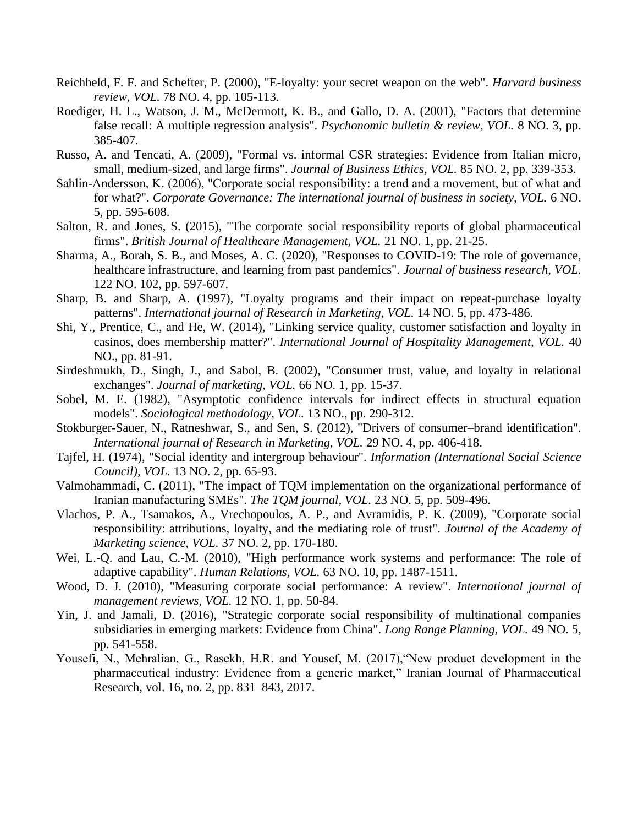- Reichheld, F. F. and Schefter, P. (2000), "E-loyalty: your secret weapon on the web". *Harvard business review, VOL.* 78 NO. 4, pp. 105-113.
- Roediger, H. L., Watson, J. M., McDermott, K. B., and Gallo, D. A. (2001), "Factors that determine false recall: A multiple regression analysis". *Psychonomic bulletin & review, VOL.* 8 NO. 3, pp. 385-407.
- Russo, A. and Tencati, A. (2009), "Formal vs. informal CSR strategies: Evidence from Italian micro, small, medium-sized, and large firms". *Journal of Business Ethics, VOL.* 85 NO. 2, pp. 339-353.
- Sahlin-Andersson, K. (2006), "Corporate social responsibility: a trend and a movement, but of what and for what?". *Corporate Governance: The international journal of business in society, VOL.* 6 NO. 5, pp. 595-608.
- Salton, R. and Jones, S. (2015), "The corporate social responsibility reports of global pharmaceutical firms". *British Journal of Healthcare Management, VOL.* 21 NO. 1, pp. 21-25.
- Sharma, A., Borah, S. B., and Moses, A. C. (2020), "Responses to COVID-19: The role of governance, healthcare infrastructure, and learning from past pandemics". *Journal of business research, VOL.*  122 NO. 102, pp. 597-607.
- Sharp, B. and Sharp, A. (1997), "Loyalty programs and their impact on repeat-purchase loyalty patterns". *International journal of Research in Marketing, VOL.* 14 NO. 5, pp. 473-486.
- Shi, Y., Prentice, C., and He, W. (2014), "Linking service quality, customer satisfaction and loyalty in casinos, does membership matter?". *International Journal of Hospitality Management, VOL.* 40 NO., pp. 81-91.
- Sirdeshmukh, D., Singh, J., and Sabol, B. (2002), "Consumer trust, value, and loyalty in relational exchanges". *Journal of marketing, VOL.* 66 NO. 1, pp. 15-37.
- Sobel, M. E. (1982), "Asymptotic confidence intervals for indirect effects in structural equation models". *Sociological methodology, VOL.* 13 NO., pp. 290-312.
- Stokburger-Sauer, N., Ratneshwar, S., and Sen, S. (2012), "Drivers of consumer–brand identification". *International journal of Research in Marketing, VOL.* 29 NO. 4, pp. 406-418.
- Tajfel, H. (1974), "Social identity and intergroup behaviour". *Information (International Social Science Council), VOL.* 13 NO. 2, pp. 65-93.
- Valmohammadi, C. (2011), "The impact of TQM implementation on the organizational performance of Iranian manufacturing SMEs". *The TQM journal, VOL.* 23 NO. 5, pp. 509-496.
- Vlachos, P. A., Tsamakos, A., Vrechopoulos, A. P., and Avramidis, P. K. (2009), "Corporate social responsibility: attributions, loyalty, and the mediating role of trust". *Journal of the Academy of Marketing science, VOL.* 37 NO. 2, pp. 170-180.
- Wei, L.-Q. and Lau, C.-M. (2010), "High performance work systems and performance: The role of adaptive capability". *Human Relations, VOL.* 63 NO. 10, pp. 1487-1511.
- Wood, D. J. (2010), "Measuring corporate social performance: A review". *International journal of management reviews, VOL.* 12 NO. 1, pp. 50-84.
- Yin, J. and Jamali, D. (2016), "Strategic corporate social responsibility of multinational companies subsidiaries in emerging markets: Evidence from China". *Long Range Planning, VOL.* 49 NO. 5, pp. 541-558.
- Yousefi, N., Mehralian, G., Rasekh, H.R. and Yousef, M. (2017),"New product development in the pharmaceutical industry: Evidence from a generic market," Iranian Journal of Pharmaceutical Research, vol. 16, no. 2, pp. 831–843, 2017.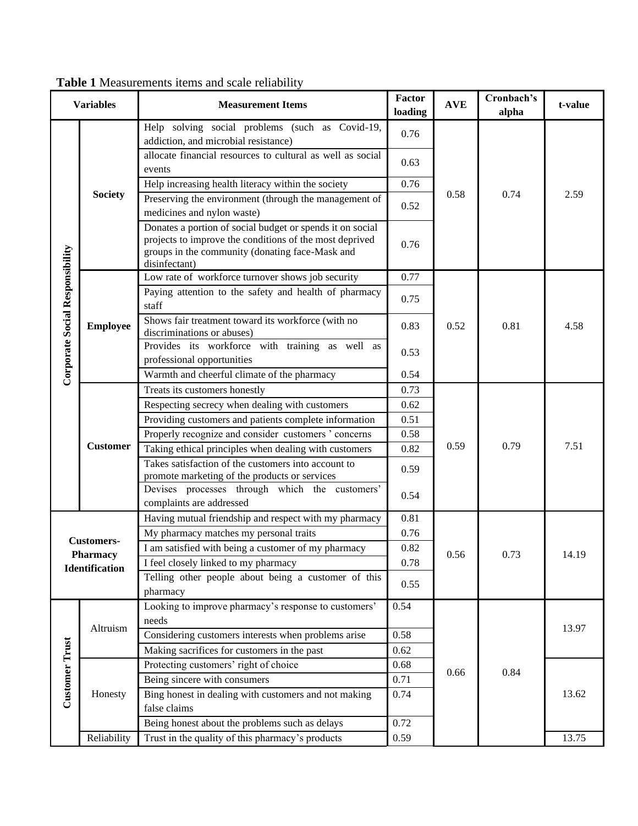| <b>Variables</b>                |                   | <b>Measurement Items</b>                                                                                                                                                                 | Factor<br>loading | <b>AVE</b> | Cronbach's<br>alpha | t-value |
|---------------------------------|-------------------|------------------------------------------------------------------------------------------------------------------------------------------------------------------------------------------|-------------------|------------|---------------------|---------|
|                                 |                   | Help solving social problems (such as Covid-19,<br>addiction, and microbial resistance)                                                                                                  | 0.76              |            | 0.74                | 2.59    |
|                                 | <b>Society</b>    | allocate financial resources to cultural as well as social<br>events                                                                                                                     | 0.63              |            |                     |         |
|                                 |                   | Help increasing health literacy within the society                                                                                                                                       | 0.76              |            |                     |         |
|                                 |                   | Preserving the environment (through the management of                                                                                                                                    | 0.52              | 0.58       |                     |         |
|                                 |                   | medicines and nylon waste)                                                                                                                                                               |                   |            |                     |         |
|                                 |                   | Donates a portion of social budget or spends it on social<br>projects to improve the conditions of the most deprived<br>groups in the community (donating face-Mask and<br>disinfectant) | 0.76              |            |                     |         |
|                                 |                   | Low rate of workforce turnover shows job security                                                                                                                                        | 0.77              |            | 0.81                | 4.58    |
| Corporate Social Responsibility | <b>Employee</b>   | Paying attention to the safety and health of pharmacy<br>staff                                                                                                                           | 0.75              |            |                     |         |
|                                 |                   | Shows fair treatment toward its workforce (with no<br>discriminations or abuses)                                                                                                         | 0.83              | 0.52       |                     |         |
|                                 |                   | Provides its workforce with training as well as<br>0.53<br>professional opportunities                                                                                                    |                   |            |                     |         |
|                                 |                   | Warmth and cheerful climate of the pharmacy                                                                                                                                              |                   |            |                     |         |
|                                 | <b>Customer</b>   | Treats its customers honestly                                                                                                                                                            | 0.73              |            | 0.79                | 7.51    |
|                                 |                   | Respecting secrecy when dealing with customers                                                                                                                                           | 0.62              |            |                     |         |
|                                 |                   | Providing customers and patients complete information                                                                                                                                    | 0.51              |            |                     |         |
|                                 |                   | Properly recognize and consider customers ' concerns                                                                                                                                     | 0.58              |            |                     |         |
|                                 |                   | Taking ethical principles when dealing with customers                                                                                                                                    | 0.82              | 0.59       |                     |         |
|                                 |                   | Takes satisfaction of the customers into account to                                                                                                                                      | 0.59              |            |                     |         |
|                                 |                   | promote marketing of the products or services<br>Devises processes through which the customers'                                                                                          |                   |            |                     |         |
|                                 |                   | complaints are addressed                                                                                                                                                                 | 0.54              |            |                     |         |
|                                 |                   | Having mutual friendship and respect with my pharmacy                                                                                                                                    | 0.81              |            |                     |         |
|                                 | <b>Customers-</b> | My pharmacy matches my personal traits                                                                                                                                                   | 0.76              |            |                     |         |
|                                 | Pharmacv          | I am satisfied with being a customer of my pharmacy                                                                                                                                      | 0.82              | 0.56       | 0.73                | 14.19   |
|                                 | Identification    | I feel closely linked to my pharmacy                                                                                                                                                     | 0.78              |            |                     |         |
|                                 |                   | Telling other people about being a customer of this<br>pharmacy                                                                                                                          | 0.55              |            |                     |         |
|                                 |                   | Looking to improve pharmacy's response to customers'                                                                                                                                     | 0.54              |            |                     |         |
| <b>Customer Trust</b>           | Altruism          | needs                                                                                                                                                                                    |                   |            | 0.84                | 13.97   |
|                                 |                   | Considering customers interests when problems arise                                                                                                                                      | 0.58              |            |                     |         |
|                                 |                   | Making sacrifices for customers in the past                                                                                                                                              | 0.62              |            |                     |         |
|                                 | Honesty           | Protecting customers' right of choice                                                                                                                                                    | 0.68              |            |                     |         |
|                                 |                   | Being sincere with consumers                                                                                                                                                             | 0.71              | 0.66       |                     |         |
|                                 |                   | Bing honest in dealing with customers and not making                                                                                                                                     | 0.74              |            | 13.62               |         |
|                                 |                   | false claims                                                                                                                                                                             |                   |            |                     |         |
|                                 |                   | Being honest about the problems such as delays                                                                                                                                           | 0.72              |            |                     |         |
|                                 | Reliability       | Trust in the quality of this pharmacy's products                                                                                                                                         | 0.59              |            |                     | 13.75   |

**Table 1** Measurements items and scale reliability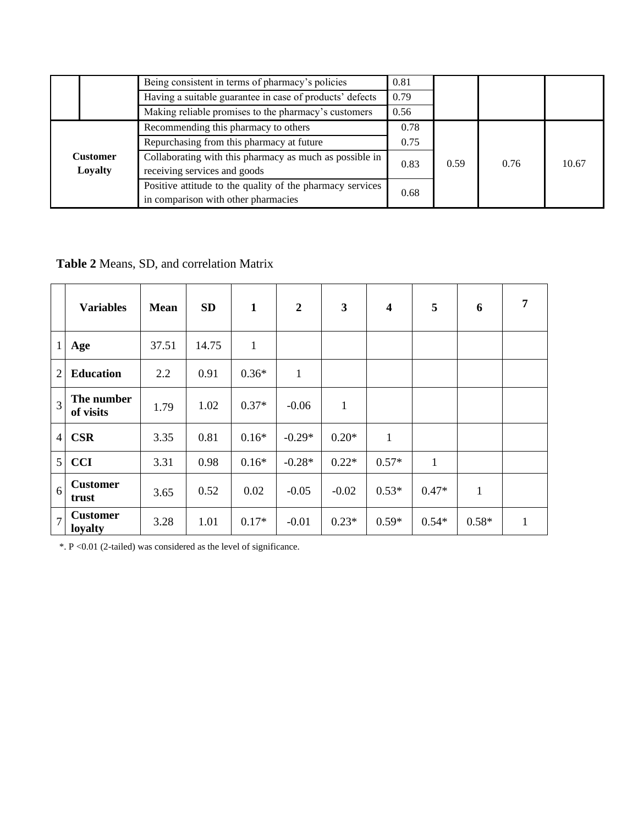|  |                            | Being consistent in terms of pharmacy's policies                                                 | 0.81 |      |      |       |
|--|----------------------------|--------------------------------------------------------------------------------------------------|------|------|------|-------|
|  |                            | Having a suitable guarantee in case of products' defects                                         | 0.79 |      |      |       |
|  |                            | Making reliable promises to the pharmacy's customers                                             | 0.56 |      |      |       |
|  |                            | Recommending this pharmacy to others                                                             | 0.78 |      |      |       |
|  |                            | Repurchasing from this pharmacy at future                                                        |      |      |      |       |
|  | <b>Customer</b><br>Loyalty | Collaborating with this pharmacy as much as possible in<br>receiving services and goods          |      | 0.59 | 0.76 | 10.67 |
|  |                            | Positive attitude to the quality of the pharmacy services<br>in comparison with other pharmacies | 0.68 |      |      |       |

**Table 2** Means, SD, and correlation Matrix

|                | <b>Variables</b>           | <b>Mean</b> | <b>SD</b> | $\mathbf{1}$ | $\boldsymbol{2}$ | 3            | $\overline{\mathbf{4}}$ | 5            | 6            | 7 |
|----------------|----------------------------|-------------|-----------|--------------|------------------|--------------|-------------------------|--------------|--------------|---|
| $\mathbf{1}$   | Age                        | 37.51       | 14.75     | $\mathbf{1}$ |                  |              |                         |              |              |   |
| $\overline{2}$ | <b>Education</b>           | 2.2         | 0.91      | $0.36*$      | $\mathbf{1}$     |              |                         |              |              |   |
| $\overline{3}$ | The number<br>of visits    | 1.79        | 1.02      | $0.37*$      | $-0.06$          | $\mathbf{1}$ |                         |              |              |   |
| $\overline{4}$ | <b>CSR</b>                 | 3.35        | 0.81      | $0.16*$      | $-0.29*$         | $0.20*$      | $\mathbf{1}$            |              |              |   |
| 5              | <b>CCI</b>                 | 3.31        | 0.98      | $0.16*$      | $-0.28*$         | $0.22*$      | $0.57*$                 | $\mathbf{1}$ |              |   |
| 6              | <b>Customer</b><br>trust   | 3.65        | 0.52      | 0.02         | $-0.05$          | $-0.02$      | $0.53*$                 | $0.47*$      | $\mathbf{1}$ |   |
| $\overline{7}$ | <b>Customer</b><br>loyalty | 3.28        | 1.01      | $0.17*$      | $-0.01$          | $0.23*$      | $0.59*$                 | $0.54*$      | $0.58*$      |   |

\*. P <0.01 (2-tailed) was considered as the level of significance.